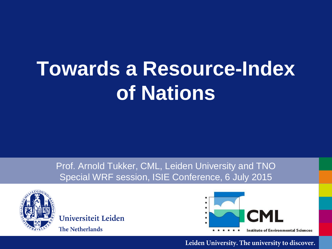# **Towards a Resource-Index of Nations**

Prof. Arnold Tukker, CML, Leiden University and TNO Special WRF session, ISIE Conference, 6 July 2015



Universiteit Leiden **The Netherlands** 

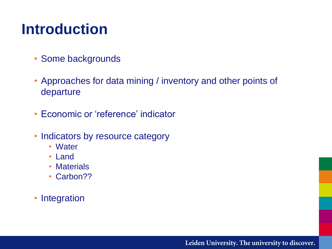#### **Introduction**

- Some backgrounds
- Approaches for data mining / inventory and other points of departure
- Economic or 'reference' indicator
- Indicators by resource category
	- Water
	- Land
	- Materials
	- Carbon??
- Integration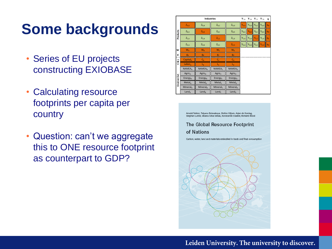### **Some backgrounds**

- Series of EU projects constructing EXIOBASE
- Calculating resource footprints per capita per country
- Question: can't we aggregate this to ONE resource footprint as counterpart to GDP?

| <b>Industries</b>                  |                           |                             |                           |                           |           | $Y_{*,A}$ $Y_{*,B}$ $Y_{*,C}$ $Y_{*,D}$ |           |           | q              |
|------------------------------------|---------------------------|-----------------------------|---------------------------|---------------------------|-----------|-----------------------------------------|-----------|-----------|----------------|
|                                    | $Z_{\rm AA}$              | $Z_{A,B}$                   | $Z_{A,C}$                 | $Z_{A,D}$                 | $Y_{A,A}$ | $Y_{A,B}$                               | YAC       | $Y_{A,D}$ | $q_A$          |
| Products                           | $Z_{B,A}$                 | $Z_{B,B}$                   | $Z_{B,C}$                 | $Z_{B,D}$                 | $Y_{B,A}$ | $Y_{B,B}$                               | $Y_{B,C}$ | $Y_{B,D}$ | q <sub>D</sub> |
|                                    | $Z_{C,A}$                 | $Z_{C,B}$                   | $Z_{c,c}$                 | $Z_{C,D}$                 | $Y_{C,A}$ | $Y_{C,B}$                               | $Y_{C,C}$ | $Y_{C,D}$ | $q_c$          |
|                                    | $Z_{D,A}$                 | $Z_{D,B}$                   | $Z_{D,C}$                 | $Z_{D,D}$                 |           | $Y_{D,A}$ $Y_{D,B}$                     | $Y_{D,C}$ | $Y_{D,D}$ | q <sub>D</sub> |
| W                                  | $W_A$                     | $W_{R}$                     | $W_c$                     | $W_D$                     |           |                                         |           |           |                |
| g                                  | g <sub>A</sub>            | $g_B$                       | g <sub>c</sub>            | $g_D$                     |           |                                         |           |           |                |
| $\overline{\phantom{a}}$<br>త<br>ت | Capital <sub>A</sub>      | $C_{\rm B}$                 | $C_{\rm C}$               | $C_{D}$                   |           |                                         |           |           |                |
|                                    | Labor <sub>A</sub>        | $L_{\rm B}$                 | $L_{\rm C}$               | $L_{D}$                   |           |                                         |           |           |                |
| <b>Environ Ext</b>                 | NAMEA <sub>A</sub>        | <b>NAMEA</b> <sub>R</sub>   | NAMEA <sub>c</sub>        | <b>NAMEA</b> <sub>n</sub> |           |                                         |           |           |                |
|                                    | <b>Agric</b> <sub>A</sub> | <b>Agric</b> <sub>R</sub>   | <b>Agric</b> <sub>c</sub> | Agric <sub>o</sub>        |           |                                         |           |           |                |
|                                    | Energy <sub>A</sub>       | <b>Energy</b> <sub>B</sub>  | Energy <sub>c</sub>       | Energy <sub>D</sub>       |           |                                         |           |           |                |
|                                    | Metal <sub>A</sub>        | MetaI <sub>R</sub>          | Meta <sub>c</sub>         | Meta <sub>b</sub>         |           |                                         |           |           |                |
|                                    | Mineral <sub>A</sub>      | <b>Mineral</b> <sub>R</sub> | Mineral $c$               | Mineral <sub>p</sub>      |           |                                         |           |           |                |
|                                    | Land <sub>A</sub>         | Land <sub>R</sub>           | Land <sub>c</sub>         | Land <sub>D</sub>         |           |                                         |           |           |                |

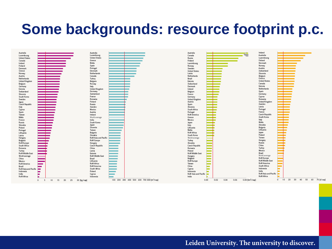#### **Some backgrounds: resource footprint p.c.**

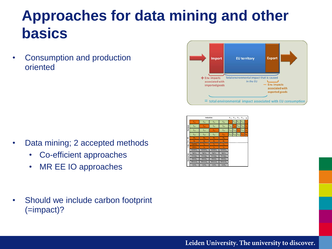### **Approaches for data mining and other basics**

• Consumption and production oriented





- Data mining; 2 accepted methods
	- Co-efficient approaches
	- MR EE IO approaches
- Should we include carbon footprint (=impact)?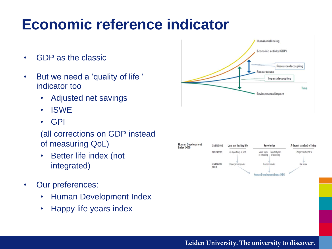### **Economic reference indicator**

- GDP as the classic
- But we need a 'quality of life ' indicator too
	- Adjusted net savings
	- ISWE
	- GPI

#### (all corrections on GDP instead of measuring QoL)

- Better life index (not integrated)
- Our preferences:
	- Human Development Index
	- Happy life years index



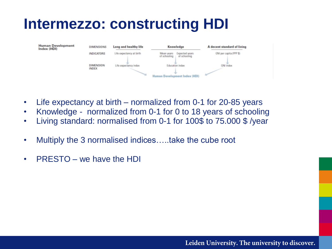#### **Intermezzo: constructing HDI**



- Life expectancy at birth normalized from 0-1 for 20-85 years
- Knowledge normalized from 0-1 for 0 to 18 years of schooling
- Living standard: normalised from 0-1 for 100\$ to 75.000 \$ /year
- Multiply the 3 normalised indices.....take the cube root
- PRESTO we have the HDI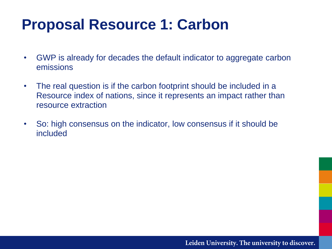### **Proposal Resource 1: Carbon**

- GWP is already for decades the default indicator to aggregate carbon emissions
- The real question is if the carbon footprint should be included in a Resource index of nations, since it represents an impact rather than resource extraction
- So: high consensus on the indicator, low consensus if it should be included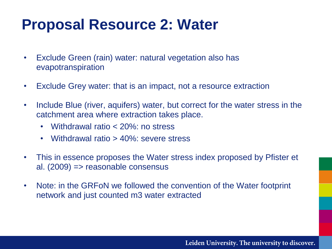### **Proposal Resource 2: Water**

- Exclude Green (rain) water: natural vegetation also has evapotranspiration
- Exclude Grey water: that is an impact, not a resource extraction
- Include Blue (river, aquifers) water, but correct for the water stress in the catchment area where extraction takes place.
	- Withdrawal ratio < 20%: no stress
	- Withdrawal ratio > 40%: severe stress
- This in essence proposes the Water stress index proposed by Pfister et al. (2009) => reasonable consensus
- Note: in the GRFoN we followed the convention of the Water footprint network and just counted m3 water extracted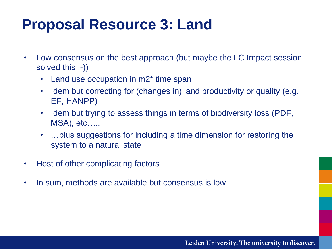### **Proposal Resource 3: Land**

- Low consensus on the best approach (but maybe the LC Impact session solved this ;-))
	- Land use occupation in m2<sup>\*</sup> time span
	- Idem but correcting for (changes in) land productivity or quality (e.g. EF, HANPP)
	- Idem but trying to assess things in terms of biodiversity loss (PDF, MSA), etc…..
	- …plus suggestions for including a time dimension for restoring the system to a natural state
- Host of other complicating factors
- In sum, methods are available but consensus is low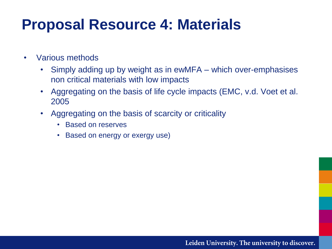#### **Proposal Resource 4: Materials**

- Various methods
	- Simply adding up by weight as in ewMFA which over-emphasises non critical materials with low impacts
	- Aggregating on the basis of life cycle impacts (EMC, v.d. Voet et al. 2005
	- Aggregating on the basis of scarcity or criticality
		- Based on reserves
		- Based on energy or exergy use)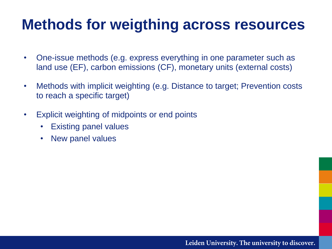#### **Methods for weigthing across resources**

- One-issue methods (e.g. express everything in one parameter such as land use (EF), carbon emissions (CF), monetary units (external costs)
- Methods with implicit weighting (e.g. Distance to target; Prevention costs to reach a specific target)
- Explicit weighting of midpoints or end points
	- Existing panel values
	- New panel values